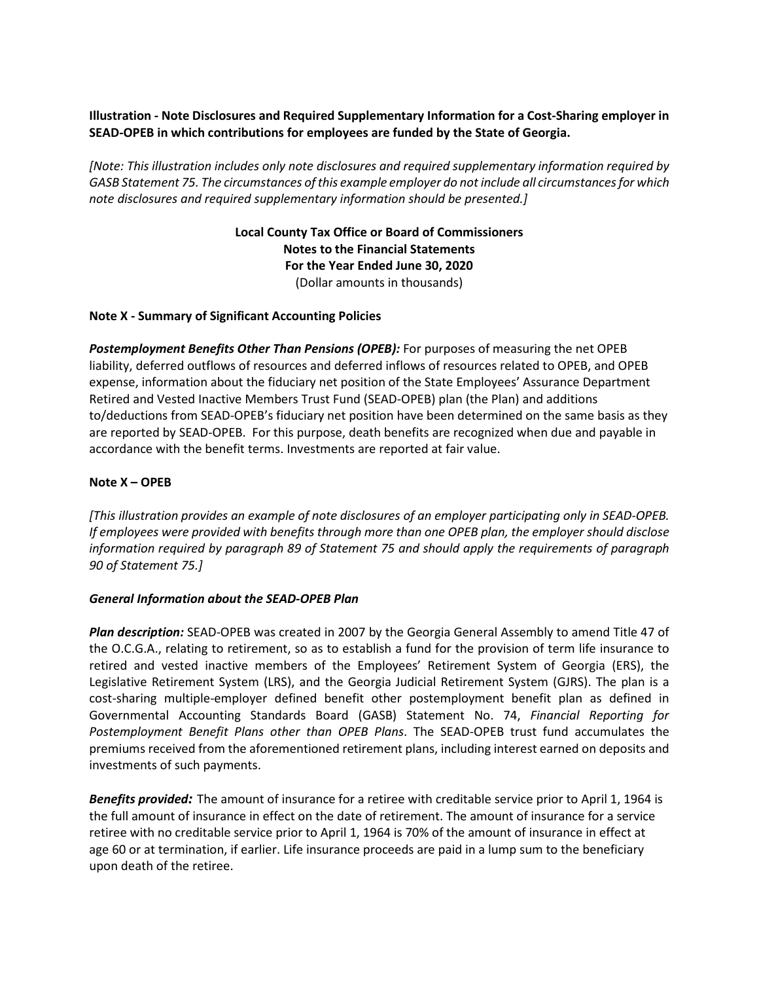# **Illustration - Note Disclosures and Required Supplementary Information for a Cost-Sharing employer in SEAD-OPEB in which contributions for employees are funded by the State of Georgia.**

*[Note: This illustration includes only note disclosures and required supplementary information required by GASB Statement 75. The circumstances of this example employer do not include all circumstances for which note disclosures and required supplementary information should be presented.]*

> **Local County Tax Office or Board of Commissioners Notes to the Financial Statements For the Year Ended June 30, 2020** (Dollar amounts in thousands)

## **Note X - Summary of Significant Accounting Policies**

*Postemployment Benefits Other Than Pensions (OPEB):* For purposes of measuring the net OPEB liability, deferred outflows of resources and deferred inflows of resources related to OPEB, and OPEB expense, information about the fiduciary net position of the State Employees' Assurance Department Retired and Vested Inactive Members Trust Fund (SEAD-OPEB) plan (the Plan) and additions to/deductions from SEAD-OPEB's fiduciary net position have been determined on the same basis as they are reported by SEAD-OPEB. For this purpose, death benefits are recognized when due and payable in accordance with the benefit terms. Investments are reported at fair value.

## **Note X – OPEB**

*[This illustration provides an example of note disclosures of an employer participating only in SEAD-OPEB. If employees were provided with benefits through more than one OPEB plan, the employer should disclose information required by paragraph 89 of Statement 75 and should apply the requirements of paragraph 90 of Statement 75.]*

#### *General Information about the SEAD-OPEB Plan*

*Plan description:* SEAD-OPEB was created in 2007 by the Georgia General Assembly to amend Title 47 of the O.C.G.A., relating to retirement, so as to establish a fund for the provision of term life insurance to retired and vested inactive members of the Employees' Retirement System of Georgia (ERS), the Legislative Retirement System (LRS), and the Georgia Judicial Retirement System (GJRS). The plan is a cost-sharing multiple-employer defined benefit other postemployment benefit plan as defined in Governmental Accounting Standards Board (GASB) Statement No. 74, *Financial Reporting for Postemployment Benefit Plans other than OPEB Plans*. The SEAD-OPEB trust fund accumulates the premiums received from the aforementioned retirement plans, including interest earned on deposits and investments of such payments.

*Benefits provided:* The amount of insurance for a retiree with creditable service prior to April 1, 1964 is the full amount of insurance in effect on the date of retirement. The amount of insurance for a service retiree with no creditable service prior to April 1, 1964 is 70% of the amount of insurance in effect at age 60 or at termination, if earlier. Life insurance proceeds are paid in a lump sum to the beneficiary upon death of the retiree.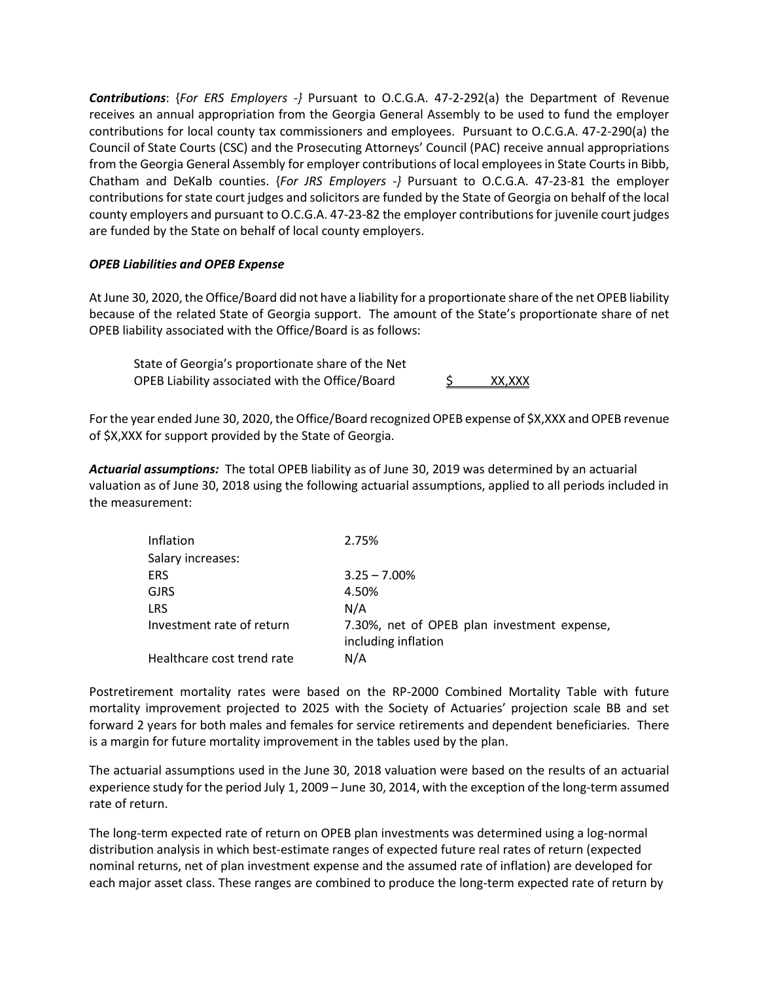*Contributions*: {*For ERS Employers -}* Pursuant to O.C.G.A. 47-2-292(a) the Department of Revenue receives an annual appropriation from the Georgia General Assembly to be used to fund the employer contributions for local county tax commissioners and employees. Pursuant to O.C.G.A. 47-2-290(a) the Council of State Courts (CSC) and the Prosecuting Attorneys' Council (PAC) receive annual appropriations from the Georgia General Assembly for employer contributions of local employees in State Courts in Bibb, Chatham and DeKalb counties. {*For JRS Employers -}* Pursuant to O.C.G.A. 47-23-81 the employer contributions for state court judges and solicitors are funded by the State of Georgia on behalf of the local county employers and pursuant to O.C.G.A. 47-23-82 the employer contributions for juvenile court judges are funded by the State on behalf of local county employers.

## *OPEB Liabilities and OPEB Expense*

At June 30, 2020, the Office/Board did not have a liability for a proportionate share of the net OPEB liability because of the related State of Georgia support. The amount of the State's proportionate share of net OPEB liability associated with the Office/Board is as follows:

State of Georgia's proportionate share of the Net OPEB Liability associated with the Office/Board  $\frac{5}{2}$  XX,XXX

For the year ended June 30, 2020, the Office/Board recognized OPEB expense of \$X,XXX and OPEB revenue of \$X,XXX for support provided by the State of Georgia.

*Actuarial assumptions:* The total OPEB liability as of June 30, 2019 was determined by an actuarial valuation as of June 30, 2018 using the following actuarial assumptions, applied to all periods included in the measurement:

| Inflation                  | 2.75%                                                              |
|----------------------------|--------------------------------------------------------------------|
| Salary increases:          |                                                                    |
| <b>ERS</b>                 | $3.25 - 7.00\%$                                                    |
| <b>GJRS</b>                | 4.50%                                                              |
| <b>LRS</b>                 | N/A                                                                |
| Investment rate of return  | 7.30%, net of OPEB plan investment expense,<br>including inflation |
| Healthcare cost trend rate | N/A                                                                |

Postretirement mortality rates were based on the RP-2000 Combined Mortality Table with future mortality improvement projected to 2025 with the Society of Actuaries' projection scale BB and set forward 2 years for both males and females for service retirements and dependent beneficiaries. There is a margin for future mortality improvement in the tables used by the plan.

The actuarial assumptions used in the June 30, 2018 valuation were based on the results of an actuarial experience study for the period July 1, 2009 – June 30, 2014, with the exception of the long-term assumed rate of return.

The long-term expected rate of return on OPEB plan investments was determined using a log-normal distribution analysis in which best-estimate ranges of expected future real rates of return (expected nominal returns, net of plan investment expense and the assumed rate of inflation) are developed for each major asset class. These ranges are combined to produce the long-term expected rate of return by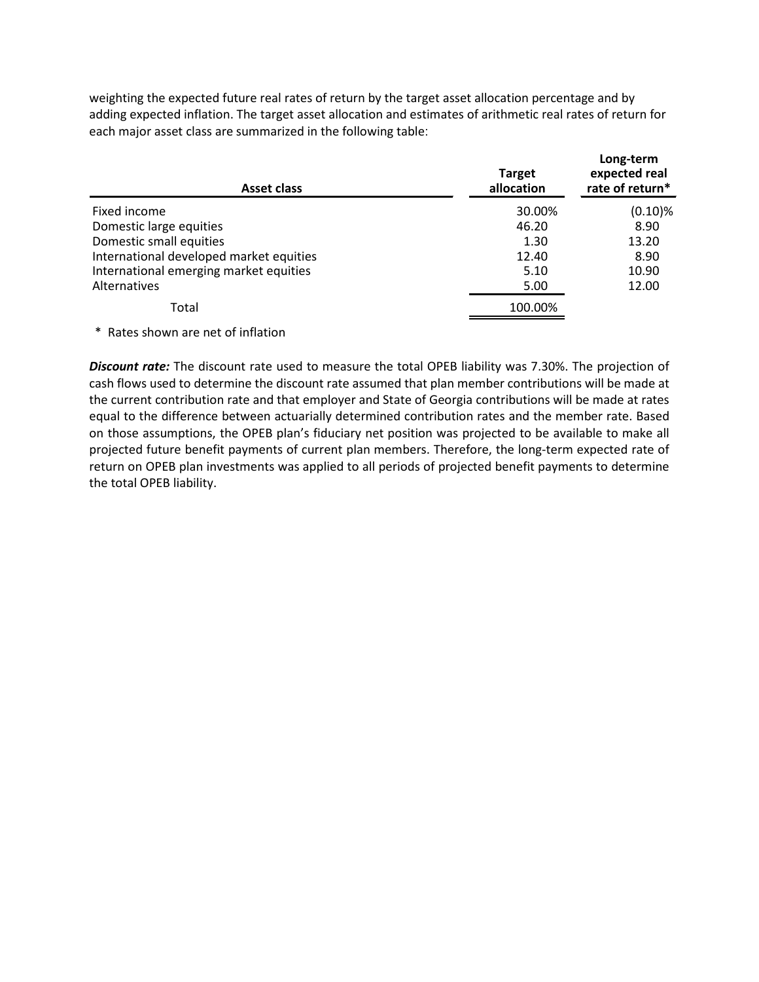weighting the expected future real rates of return by the target asset allocation percentage and by adding expected inflation. The target asset allocation and estimates of arithmetic real rates of return for each major asset class are summarized in the following table:

| Asset class                             | <b>Target</b><br>allocation | Long-term<br>expected real<br>rate of return* |
|-----------------------------------------|-----------------------------|-----------------------------------------------|
| Fixed income                            | 30.00%                      | $(0.10)$ %                                    |
| Domestic large equities                 | 46.20                       | 8.90                                          |
| Domestic small equities                 | 1.30                        | 13.20                                         |
| International developed market equities | 12.40                       | 8.90                                          |
| International emerging market equities  | 5.10                        | 10.90                                         |
| Alternatives                            | 5.00                        | 12.00                                         |
| Total                                   | 100.00%                     |                                               |

\* Rates shown are net of inflation

*Discount rate:* The discount rate used to measure the total OPEB liability was 7.30%. The projection of cash flows used to determine the discount rate assumed that plan member contributions will be made at the current contribution rate and that employer and State of Georgia contributions will be made at rates equal to the difference between actuarially determined contribution rates and the member rate. Based on those assumptions, the OPEB plan's fiduciary net position was projected to be available to make all projected future benefit payments of current plan members. Therefore, the long-term expected rate of return on OPEB plan investments was applied to all periods of projected benefit payments to determine the total OPEB liability.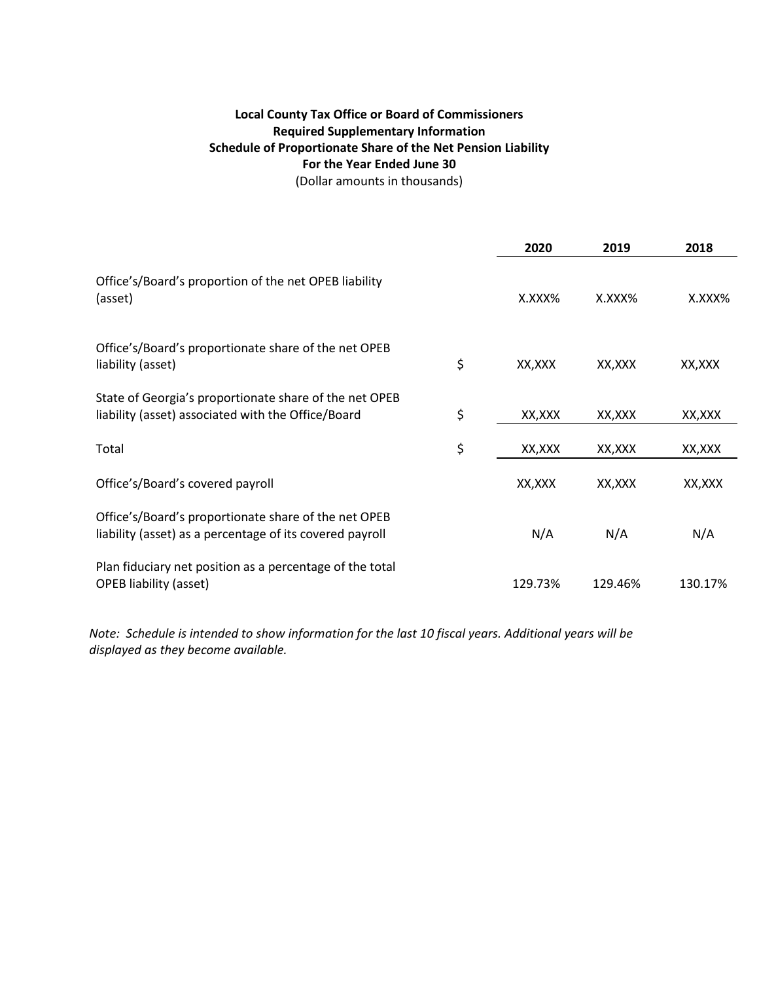# **Local County Tax Office or Board of Commissioners Required Supplementary Information Schedule of Proportionate Share of the Net Pension Liability For the Year Ended June 30**

(Dollar amounts in thousands)

|                                                                                                                  | 2020          | 2019    | 2018    |
|------------------------------------------------------------------------------------------------------------------|---------------|---------|---------|
| Office's/Board's proportion of the net OPEB liability<br>(asset)                                                 | X.XXX%        | X.XXX%  | X.XXX%  |
| Office's/Board's proportionate share of the net OPEB<br>liability (asset)                                        | \$<br>XX, XXX | XX, XXX | XX, XXX |
| State of Georgia's proportionate share of the net OPEB<br>liability (asset) associated with the Office/Board     | \$<br>XX,XXX  | XX, XXX | XX, XXX |
| Total                                                                                                            | \$<br>XX, XXX | XX, XXX | XX, XXX |
| Office's/Board's covered payroll                                                                                 | XX, XXX       | XX, XXX | XX,XXX  |
| Office's/Board's proportionate share of the net OPEB<br>liability (asset) as a percentage of its covered payroll | N/A           | N/A     | N/A     |
| Plan fiduciary net position as a percentage of the total<br><b>OPEB</b> liability (asset)                        | 129.73%       | 129.46% | 130.17% |

*Note: Schedule is intended to show information for the last 10 fiscal years. Additional years will be displayed as they become available.*